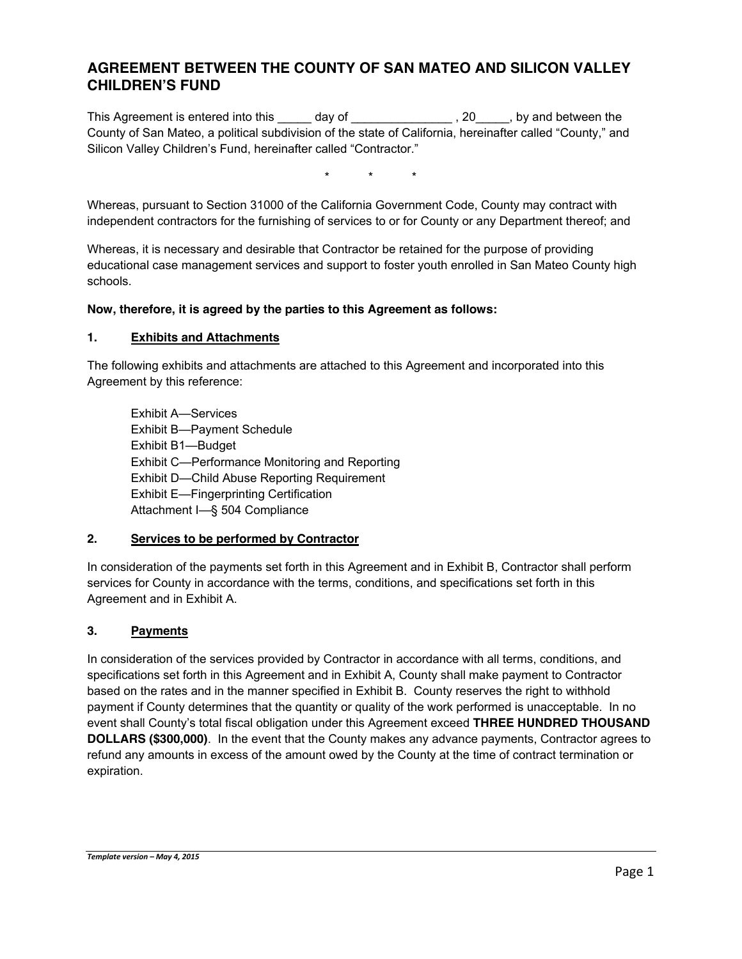### **AGREEMENT BETWEEN THE COUNTY OF SAN MATEO AND SILICON VALLEY CHILDREN'S FUND**

This Agreement is entered into this \_\_\_\_\_ day of \_\_\_\_\_\_\_\_\_\_\_\_\_\_\_\_\_\_\_\_\_, 20\_\_\_\_\_\_, by and between the County of San Mateo, a political subdivision of the state of California, hereinafter called "County," and Silicon Valley Children's Fund, hereinafter called "Contractor."

\* \* \*

Whereas, pursuant to Section 31000 of the California Government Code, County may contract with independent contractors for the furnishing of services to or for County or any Department thereof; and

Whereas, it is necessary and desirable that Contractor be retained for the purpose of providing educational case management services and support to foster youth enrolled in San Mateo County high schools.

#### **Now, therefore, it is agreed by the parties to this Agreement as follows:**

#### **1. Exhibits and Attachments**

The following exhibits and attachments are attached to this Agreement and incorporated into this Agreement by this reference:

Exhibit A—Services Exhibit B—Payment Schedule Exhibit B1—Budget Exhibit C—Performance Monitoring and Reporting Exhibit D—Child Abuse Reporting Requirement Exhibit E—Fingerprinting Certification Attachment I—§ 504 Compliance

#### **2. Services to be performed by Contractor**

In consideration of the payments set forth in this Agreement and in Exhibit B, Contractor shall perform services for County in accordance with the terms, conditions, and specifications set forth in this Agreement and in Exhibit A.

#### **3. Payments**

In consideration of the services provided by Contractor in accordance with all terms, conditions, and specifications set forth in this Agreement and in Exhibit A, County shall make payment to Contractor based on the rates and in the manner specified in Exhibit B. County reserves the right to withhold payment if County determines that the quantity or quality of the work performed is unacceptable. In no event shall County's total fiscal obligation under this Agreement exceed **THREE HUNDRED THOUSAND DOLLARS (\$300,000)**.In the event that the County makes any advance payments, Contractor agrees to refund any amounts in excess of the amount owed by the County at the time of contract termination or expiration.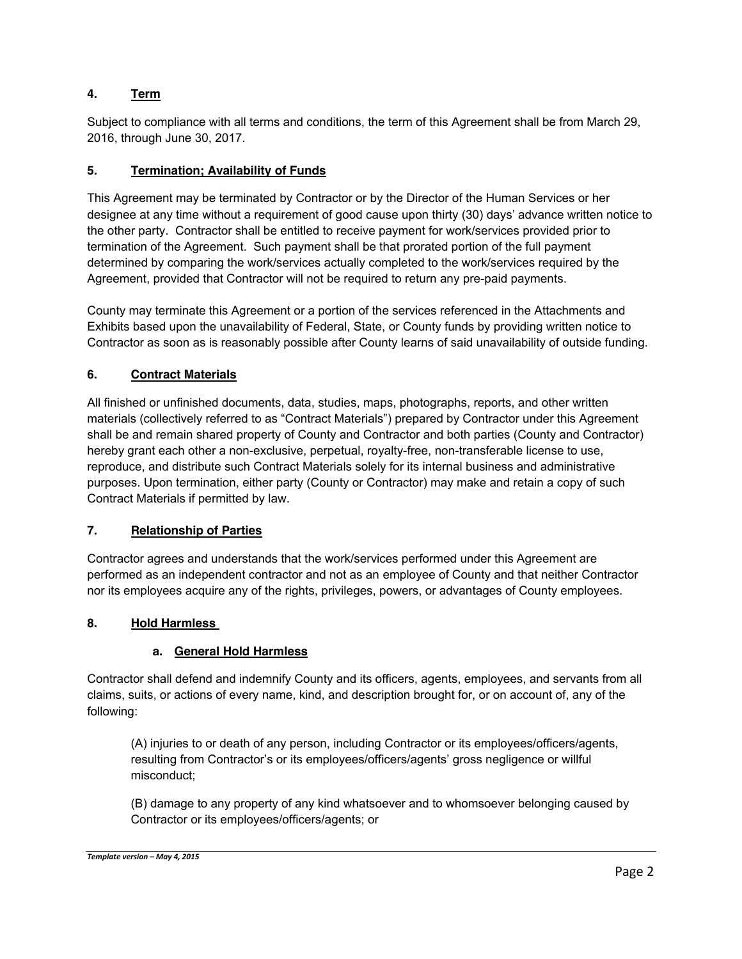#### **4. Term**

Subject to compliance with all terms and conditions, the term of this Agreement shall be from March 29, 2016, through June 30, 2017.

#### **5. Termination; Availability of Funds**

This Agreement may be terminated by Contractor or by the Director of the Human Services or her designee at any time without a requirement of good cause upon thirty (30) days' advance written notice to the other party. Contractor shall be entitled to receive payment for work/services provided prior to termination of the Agreement. Such payment shall be that prorated portion of the full payment determined by comparing the work/services actually completed to the work/services required by the Agreement, provided that Contractor will not be required to return any pre-paid payments.

County may terminate this Agreement or a portion of the services referenced in the Attachments and Exhibits based upon the unavailability of Federal, State, or County funds by providing written notice to Contractor as soon as is reasonably possible after County learns of said unavailability of outside funding.

#### **6. Contract Materials**

All finished or unfinished documents, data, studies, maps, photographs, reports, and other written materials (collectively referred to as "Contract Materials") prepared by Contractor under this Agreement shall be and remain shared property of County and Contractor and both parties (County and Contractor) hereby grant each other a non-exclusive, perpetual, royalty-free, non-transferable license to use, reproduce, and distribute such Contract Materials solely for its internal business and administrative purposes. Upon termination, either party (County or Contractor) may make and retain a copy of such Contract Materials if permitted by law.

#### **7. Relationship of Parties**

Contractor agrees and understands that the work/services performed under this Agreement are performed as an independent contractor and not as an employee of County and that neither Contractor nor its employees acquire any of the rights, privileges, powers, or advantages of County employees.

#### **8. Hold Harmless**

#### **a. General Hold Harmless**

Contractor shall defend and indemnify County and its officers, agents, employees, and servants from all claims, suits, or actions of every name, kind, and description brought for, or on account of, any of the following:

(A) injuries to or death of any person, including Contractor or its employees/officers/agents, resulting from Contractor's or its employees/officers/agents' gross negligence or willful misconduct;

(B) damage to any property of any kind whatsoever and to whomsoever belonging caused by Contractor or its employees/officers/agents; or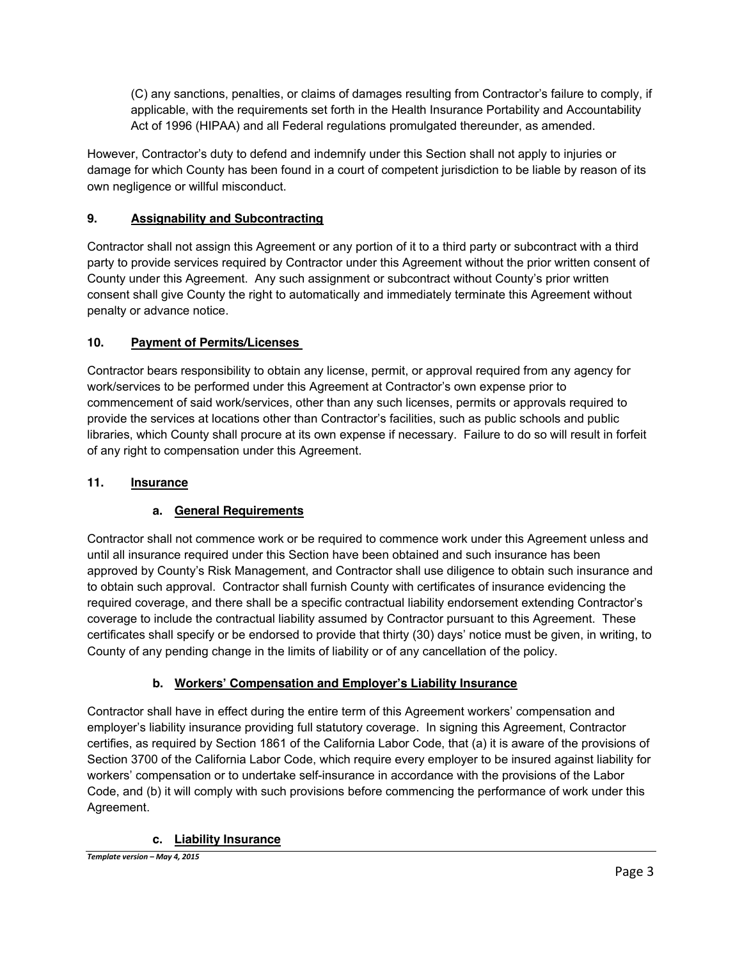(C) any sanctions, penalties, or claims of damages resulting from Contractor's failure to comply, if applicable, with the requirements set forth in the Health Insurance Portability and Accountability Act of 1996 (HIPAA) and all Federal regulations promulgated thereunder, as amended.

However, Contractor's duty to defend and indemnify under this Section shall not apply to injuries or damage for which County has been found in a court of competent jurisdiction to be liable by reason of its own negligence or willful misconduct.

### **9. Assignability and Subcontracting**

Contractor shall not assign this Agreement or any portion of it to a third party or subcontract with a third party to provide services required by Contractor under this Agreement without the prior written consent of County under this Agreement. Any such assignment or subcontract without County's prior written consent shall give County the right to automatically and immediately terminate this Agreement without penalty or advance notice.

### **10. Payment of Permits/Licenses**

Contractor bears responsibility to obtain any license, permit, or approval required from any agency for work/services to be performed under this Agreement at Contractor's own expense prior to commencement of said work/services, other than any such licenses, permits or approvals required to provide the services at locations other than Contractor's facilities, such as public schools and public libraries, which County shall procure at its own expense if necessary. Failure to do so will result in forfeit of any right to compensation under this Agreement.

#### **11. Insurance**

#### **a. General Requirements**

Contractor shall not commence work or be required to commence work under this Agreement unless and until all insurance required under this Section have been obtained and such insurance has been approved by County's Risk Management, and Contractor shall use diligence to obtain such insurance and to obtain such approval. Contractor shall furnish County with certificates of insurance evidencing the required coverage, and there shall be a specific contractual liability endorsement extending Contractor's coverage to include the contractual liability assumed by Contractor pursuant to this Agreement. These certificates shall specify or be endorsed to provide that thirty (30) days' notice must be given, in writing, to County of any pending change in the limits of liability or of any cancellation of the policy.

#### **b. Workers' Compensation and Employer's Liability Insurance**

Contractor shall have in effect during the entire term of this Agreement workers' compensation and employer's liability insurance providing full statutory coverage. In signing this Agreement, Contractor certifies, as required by Section 1861 of the California Labor Code, that (a) it is aware of the provisions of Section 3700 of the California Labor Code, which require every employer to be insured against liability for workers' compensation or to undertake self-insurance in accordance with the provisions of the Labor Code, and (b) it will comply with such provisions before commencing the performance of work under this Agreement.

#### **c. Liability Insurance**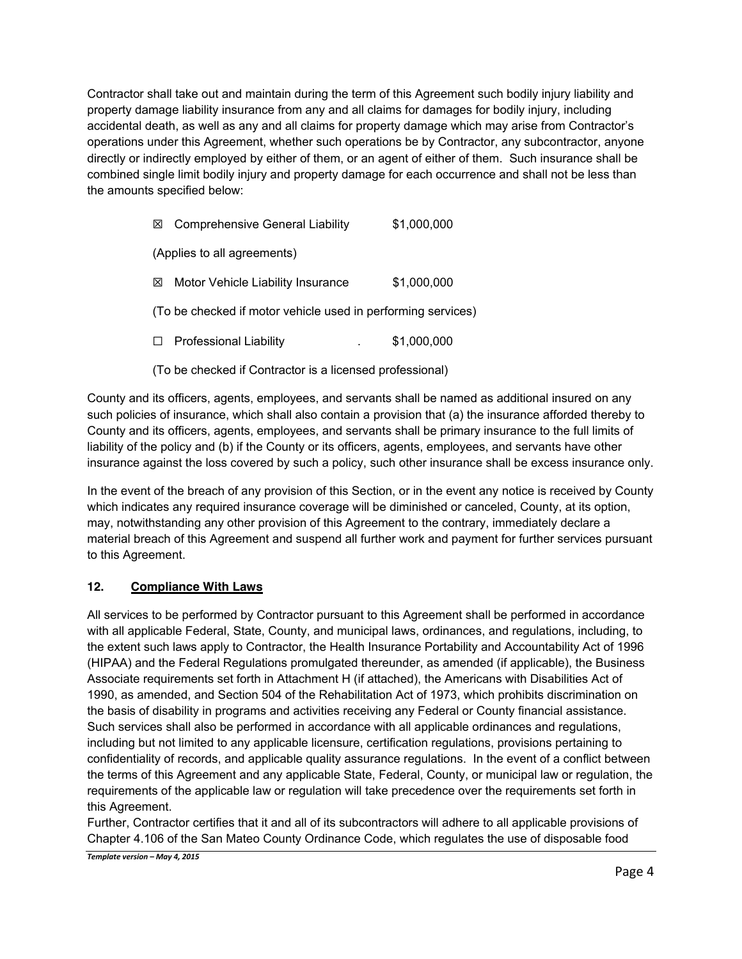Contractor shall take out and maintain during the term of this Agreement such bodily injury liability and property damage liability insurance from any and all claims for damages for bodily injury, including accidental death, as well as any and all claims for property damage which may arise from Contractor's operations under this Agreement, whether such operations be by Contractor, any subcontractor, anyone directly or indirectly employed by either of them, or an agent of either of them. Such insurance shall be combined single limit bodily injury and property damage for each occurrence and shall not be less than the amounts specified below:

| <b>Comprehensive General Liability</b><br>⊠                  | \$1,000,000 |
|--------------------------------------------------------------|-------------|
| (Applies to all agreements)                                  |             |
| Motor Vehicle Liability Insurance<br>⊠                       | \$1,000,000 |
| (To be checked if motor vehicle used in performing services) |             |
| <b>Professional Liability</b>                                | \$1,000,000 |
| (To be checked if Contractor is a licensed professional)     |             |

County and its officers, agents, employees, and servants shall be named as additional insured on any such policies of insurance, which shall also contain a provision that (a) the insurance afforded thereby to County and its officers, agents, employees, and servants shall be primary insurance to the full limits of liability of the policy and (b) if the County or its officers, agents, employees, and servants have other insurance against the loss covered by such a policy, such other insurance shall be excess insurance only.

In the event of the breach of any provision of this Section, or in the event any notice is received by County which indicates any required insurance coverage will be diminished or canceled, County, at its option, may, notwithstanding any other provision of this Agreement to the contrary, immediately declare a material breach of this Agreement and suspend all further work and payment for further services pursuant to this Agreement.

### **12. Compliance With Laws**

All services to be performed by Contractor pursuant to this Agreement shall be performed in accordance with all applicable Federal, State, County, and municipal laws, ordinances, and regulations, including, to the extent such laws apply to Contractor, the Health Insurance Portability and Accountability Act of 1996 (HIPAA) and the Federal Regulations promulgated thereunder, as amended (if applicable), the Business Associate requirements set forth in Attachment H (if attached), the Americans with Disabilities Act of 1990, as amended, and Section 504 of the Rehabilitation Act of 1973, which prohibits discrimination on the basis of disability in programs and activities receiving any Federal or County financial assistance. Such services shall also be performed in accordance with all applicable ordinances and regulations, including but not limited to any applicable licensure, certification regulations, provisions pertaining to confidentiality of records, and applicable quality assurance regulations. In the event of a conflict between the terms of this Agreement and any applicable State, Federal, County, or municipal law or regulation, the requirements of the applicable law or regulation will take precedence over the requirements set forth in this Agreement.

Further, Contractor certifies that it and all of its subcontractors will adhere to all applicable provisions of Chapter 4.106 of the San Mateo County Ordinance Code, which regulates the use of disposable food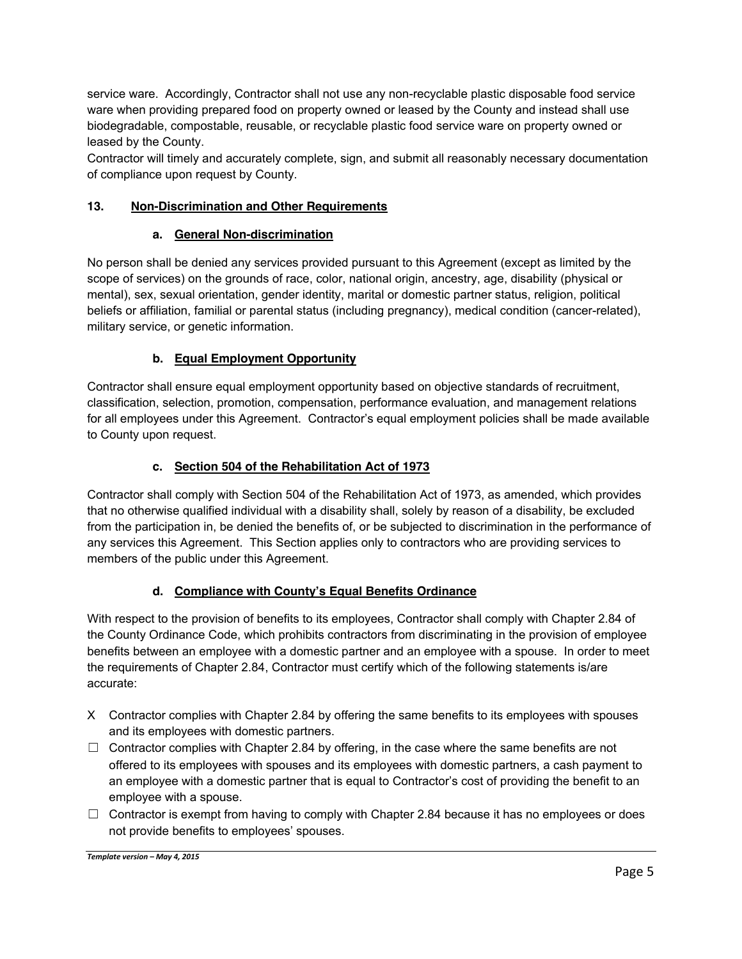service ware. Accordingly, Contractor shall not use any non-recyclable plastic disposable food service ware when providing prepared food on property owned or leased by the County and instead shall use biodegradable, compostable, reusable, or recyclable plastic food service ware on property owned or leased by the County.

Contractor will timely and accurately complete, sign, and submit all reasonably necessary documentation of compliance upon request by County.

#### **13. Non-Discrimination and Other Requirements**

#### **a. General Non-discrimination**

No person shall be denied any services provided pursuant to this Agreement (except as limited by the scope of services) on the grounds of race, color, national origin, ancestry, age, disability (physical or mental), sex, sexual orientation, gender identity, marital or domestic partner status, religion, political beliefs or affiliation, familial or parental status (including pregnancy), medical condition (cancer-related), military service, or genetic information.

### **b. Equal Employment Opportunity**

Contractor shall ensure equal employment opportunity based on objective standards of recruitment, classification, selection, promotion, compensation, performance evaluation, and management relations for all employees under this Agreement. Contractor's equal employment policies shall be made available to County upon request.

#### **c. Section 504 of the Rehabilitation Act of 1973**

Contractor shall comply with Section 504 of the Rehabilitation Act of 1973, as amended, which provides that no otherwise qualified individual with a disability shall, solely by reason of a disability, be excluded from the participation in, be denied the benefits of, or be subjected to discrimination in the performance of any services this Agreement. This Section applies only to contractors who are providing services to members of the public under this Agreement.

#### **d. Compliance with County's Equal Benefits Ordinance**

With respect to the provision of benefits to its employees, Contractor shall comply with Chapter 2.84 of the County Ordinance Code, which prohibits contractors from discriminating in the provision of employee benefits between an employee with a domestic partner and an employee with a spouse. In order to meet the requirements of Chapter 2.84, Contractor must certify which of the following statements is/are accurate:

- X Contractor complies with Chapter 2.84 by offering the same benefits to its employees with spouses and its employees with domestic partners.
- $\Box$  Contractor complies with Chapter 2.84 by offering, in the case where the same benefits are not offered to its employees with spouses and its employees with domestic partners, a cash payment to an employee with a domestic partner that is equal to Contractor's cost of providing the benefit to an employee with a spouse.
- $\Box$  Contractor is exempt from having to comply with Chapter 2.84 because it has no employees or does not provide benefits to employees' spouses.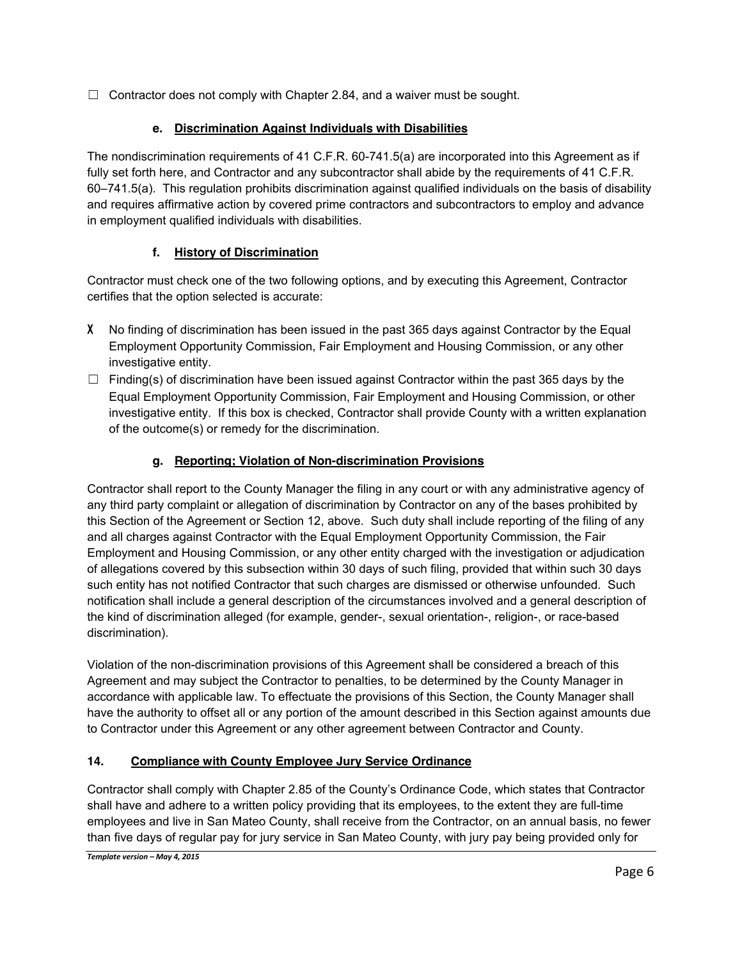$\Box$  Contractor does not comply with Chapter 2.84, and a waiver must be sought.

### **e. Discrimination Against Individuals with Disabilities**

The nondiscrimination requirements of 41 C.F.R. 60-741.5(a) are incorporated into this Agreement as if fully set forth here, and Contractor and any subcontractor shall abide by the requirements of 41 C.F.R. 60–741.5(a). This regulation prohibits discrimination against qualified individuals on the basis of disability and requires affirmative action by covered prime contractors and subcontractors to employ and advance in employment qualified individuals with disabilities.

### **f. History of Discrimination**

Contractor must check one of the two following options, and by executing this Agreement, Contractor certifies that the option selected is accurate:

- ; No finding of discrimination has been issued in the past 365 days against Contractor by the Equal Employment Opportunity Commission, Fair Employment and Housing Commission, or any other investigative entity.
- $\Box$  Finding(s) of discrimination have been issued against Contractor within the past 365 days by the Equal Employment Opportunity Commission, Fair Employment and Housing Commission, or other investigative entity. If this box is checked, Contractor shall provide County with a written explanation of the outcome(s) or remedy for the discrimination.

### **g. Reporting; Violation of Non-discrimination Provisions**

Contractor shall report to the County Manager the filing in any court or with any administrative agency of any third party complaint or allegation of discrimination by Contractor on any of the bases prohibited by this Section of the Agreement or Section 12, above. Such duty shall include reporting of the filing of any and all charges against Contractor with the Equal Employment Opportunity Commission, the Fair Employment and Housing Commission, or any other entity charged with the investigation or adjudication of allegations covered by this subsection within 30 days of such filing, provided that within such 30 days such entity has not notified Contractor that such charges are dismissed or otherwise unfounded. Such notification shall include a general description of the circumstances involved and a general description of the kind of discrimination alleged (for example, gender-, sexual orientation-, religion-, or race-based discrimination).

Violation of the non-discrimination provisions of this Agreement shall be considered a breach of this Agreement and may subject the Contractor to penalties, to be determined by the County Manager in accordance with applicable law. To effectuate the provisions of this Section, the County Manager shall have the authority to offset all or any portion of the amount described in this Section against amounts due to Contractor under this Agreement or any other agreement between Contractor and County.

#### **14. Compliance with County Employee Jury Service Ordinance**

Contractor shall comply with Chapter 2.85 of the County's Ordinance Code, which states that Contractor shall have and adhere to a written policy providing that its employees, to the extent they are full-time employees and live in San Mateo County, shall receive from the Contractor, on an annual basis, no fewer than five days of regular pay for jury service in San Mateo County, with jury pay being provided only for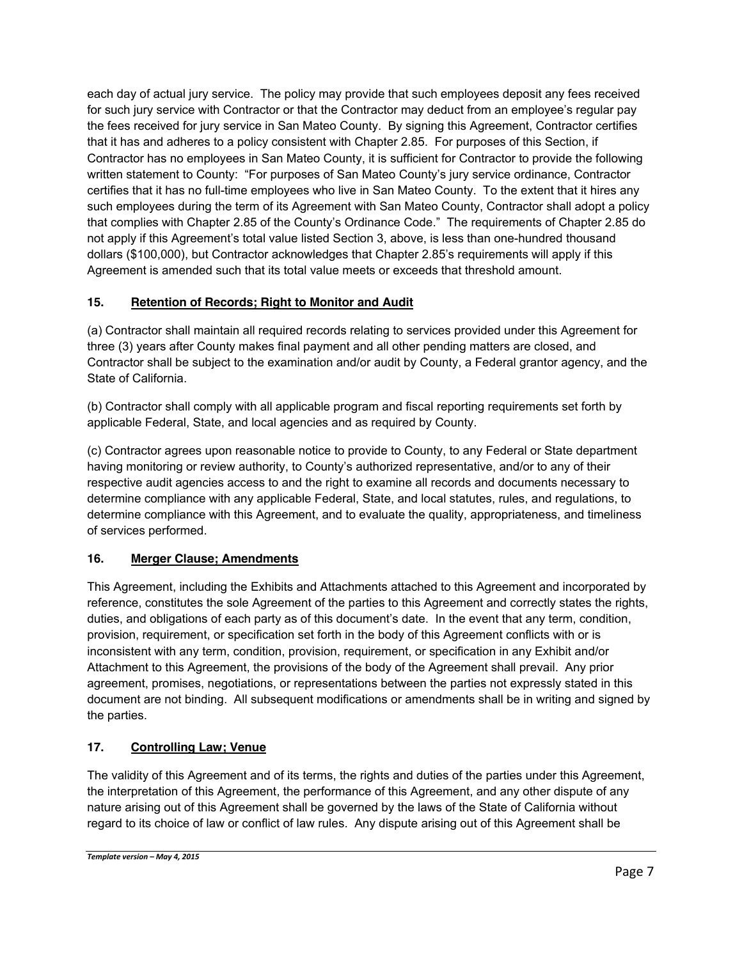each day of actual jury service. The policy may provide that such employees deposit any fees received for such jury service with Contractor or that the Contractor may deduct from an employee's regular pay the fees received for jury service in San Mateo County. By signing this Agreement, Contractor certifies that it has and adheres to a policy consistent with Chapter 2.85. For purposes of this Section, if Contractor has no employees in San Mateo County, it is sufficient for Contractor to provide the following written statement to County: "For purposes of San Mateo County's jury service ordinance, Contractor certifies that it has no full-time employees who live in San Mateo County. To the extent that it hires any such employees during the term of its Agreement with San Mateo County, Contractor shall adopt a policy that complies with Chapter 2.85 of the County's Ordinance Code." The requirements of Chapter 2.85 do not apply if this Agreement's total value listed Section 3, above, is less than one-hundred thousand dollars (\$100,000), but Contractor acknowledges that Chapter 2.85's requirements will apply if this Agreement is amended such that its total value meets or exceeds that threshold amount.

### **15. Retention of Records; Right to Monitor and Audit**

(a) Contractor shall maintain all required records relating to services provided under this Agreement for three (3) years after County makes final payment and all other pending matters are closed, and Contractor shall be subject to the examination and/or audit by County, a Federal grantor agency, and the State of California.

(b) Contractor shall comply with all applicable program and fiscal reporting requirements set forth by applicable Federal, State, and local agencies and as required by County.

(c) Contractor agrees upon reasonable notice to provide to County, to any Federal or State department having monitoring or review authority, to County's authorized representative, and/or to any of their respective audit agencies access to and the right to examine all records and documents necessary to determine compliance with any applicable Federal, State, and local statutes, rules, and regulations, to determine compliance with this Agreement, and to evaluate the quality, appropriateness, and timeliness of services performed.

#### **16. Merger Clause; Amendments**

This Agreement, including the Exhibits and Attachments attached to this Agreement and incorporated by reference, constitutes the sole Agreement of the parties to this Agreement and correctly states the rights, duties, and obligations of each party as of this document's date. In the event that any term, condition, provision, requirement, or specification set forth in the body of this Agreement conflicts with or is inconsistent with any term, condition, provision, requirement, or specification in any Exhibit and/or Attachment to this Agreement, the provisions of the body of the Agreement shall prevail. Any prior agreement, promises, negotiations, or representations between the parties not expressly stated in this document are not binding. All subsequent modifications or amendments shall be in writing and signed by the parties.

### **17. Controlling Law; Venue**

The validity of this Agreement and of its terms, the rights and duties of the parties under this Agreement, the interpretation of this Agreement, the performance of this Agreement, and any other dispute of any nature arising out of this Agreement shall be governed by the laws of the State of California without regard to its choice of law or conflict of law rules. Any dispute arising out of this Agreement shall be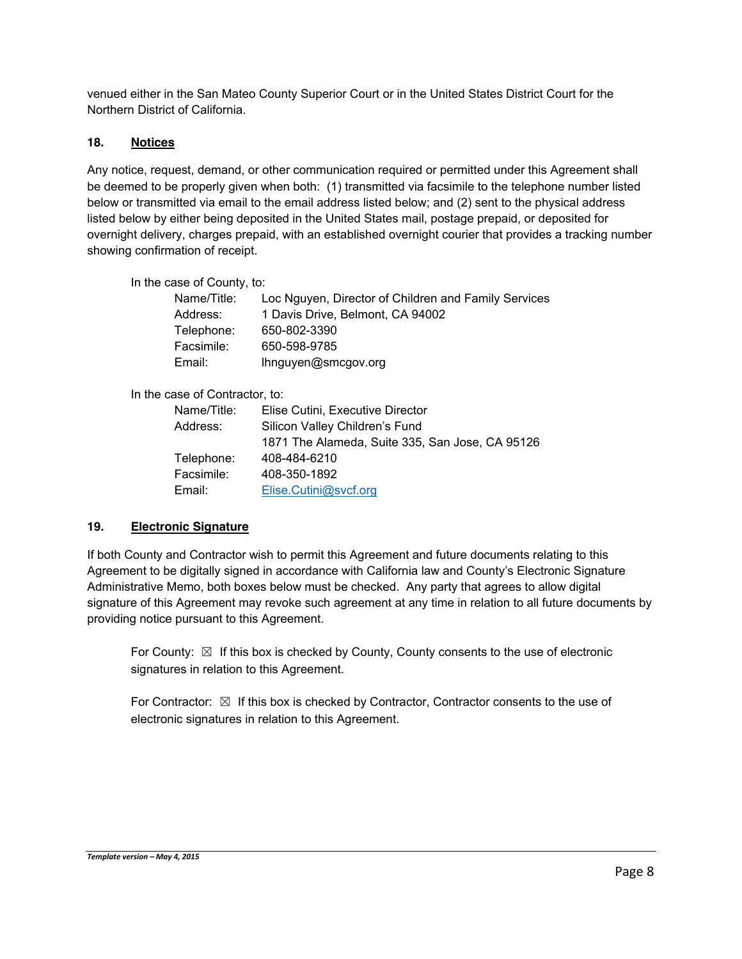venued either in the San Mateo County Superior Court or in the United States District Court for the Northern District of California.

#### **18. Notices**

Any notice, request, demand, or other communication required or permitted under this Agreement shall be deemed to be properly given when both: (1) transmitted via facsimile to the telephone number listed below or transmitted via email to the email address listed below; and (2) sent to the physical address listed below by either being deposited in the United States mail, postage prepaid, or deposited for overnight delivery, charges prepaid, with an established overnight courier that provides a tracking number showing confirmation of receipt.

| In the case of County, to: |                                                      |
|----------------------------|------------------------------------------------------|
| Name/Title:                | Loc Nguyen, Director of Children and Family Services |
| Address:                   | 1 Davis Drive, Belmont, CA 94002                     |
| Telephone:                 | 650-802-3390                                         |
| Facsimile:                 | 650-598-9785                                         |
| Email:                     | Ihnguyen@smcgov.org                                  |
|                            |                                                      |

In the case of Contractor, to:

| Name/Title: | Elise Cutini, Executive Director                |
|-------------|-------------------------------------------------|
| Address:    | Silicon Valley Children's Fund                  |
|             | 1871 The Alameda, Suite 335, San Jose, CA 95126 |
| Telephone:  | 408-484-6210                                    |
| Facsimile:  | 408-350-1892                                    |
| Email:      | Elise.Cutini@svcf.org                           |
|             |                                                 |

#### **19. Electronic Signature**

If both County and Contractor wish to permit this Agreement and future documents relating to this Agreement to be digitally signed in accordance with California law and County's Electronic Signature Administrative Memo, both boxes below must be checked. Any party that agrees to allow digital signature of this Agreement may revoke such agreement at any time in relation to all future documents by providing notice pursuant to this Agreement.

For County:  $\boxtimes$  If this box is checked by County, County consents to the use of electronic signatures in relation to this Agreement.

For Contractor:  $\boxtimes$  If this box is checked by Contractor, Contractor consents to the use of electronic signatures in relation to this Agreement.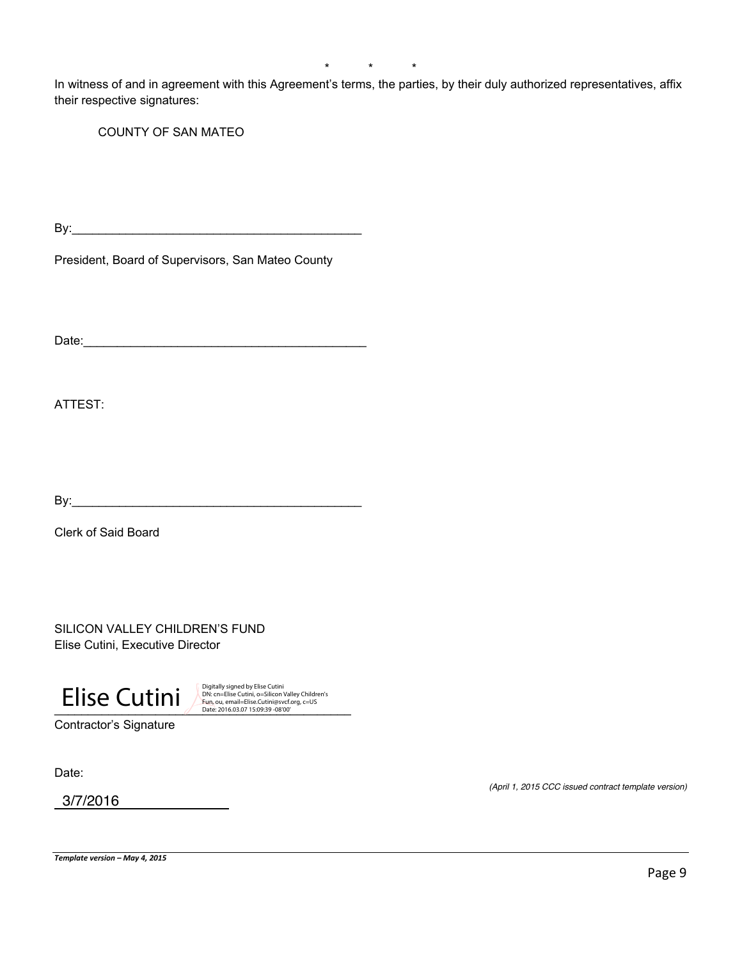\* \* \*

In witness of and in agreement with this Agreement's terms, the parties, by their duly authorized representatives, affix their respective signatures:

COUNTY OF SAN MATEO

 $\mathsf{By:}\quad$ 

President, Board of Supervisors, San Mateo County

Date:\_\_\_\_\_\_\_\_\_\_\_\_\_\_\_\_\_\_\_\_\_\_\_\_\_\_\_\_\_\_\_\_\_\_\_\_\_\_\_\_\_\_

ATTEST:

By:\_\_\_\_\_\_\_\_\_\_\_\_\_\_\_\_\_\_\_\_\_\_\_\_\_\_\_\_\_\_\_\_\_\_\_\_\_\_\_\_\_\_\_

Clerk of Said Board

SILICON VALLEY CHILDREN'S FUND Elise Cutini, Executive Director



Digitally signed by Elise Cutini<br>DN: cn=Elise Cutini, o=Silicon Valley Children's

Contractor's Signature

Date:

 3/7/2016

*(April 1, 2015 CCC issued contract template version)* 

*Template version – May 4, 2015*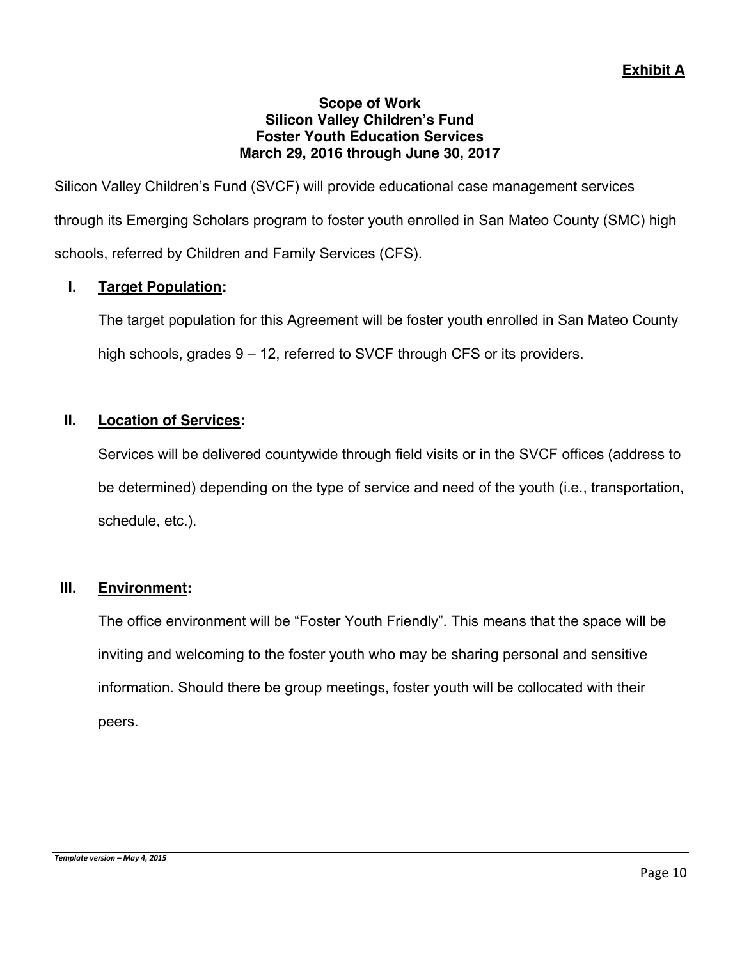# **Exhibit A**

### **Scope of Work Silicon Valley Children's Fund Foster Youth Education Services March 29, 2016 through June 30, 2017**

Silicon Valley Children's Fund (SVCF) will provide educational case management services through its Emerging Scholars program to foster youth enrolled in San Mateo County (SMC) high schools, referred by Children and Family Services (CFS).

# **I. Target Population:**

The target population for this Agreement will be foster youth enrolled in San Mateo County high schools, grades 9 – 12, referred to SVCF through CFS or its providers.

# **II. Location of Services:**

Services will be delivered countywide through field visits or in the SVCF offices (address to be determined) depending on the type of service and need of the youth (i.e., transportation, schedule, etc.).

### **III. Environment:**

The office environment will be "Foster Youth Friendly". This means that the space will be inviting and welcoming to the foster youth who may be sharing personal and sensitive information. Should there be group meetings, foster youth will be collocated with their peers.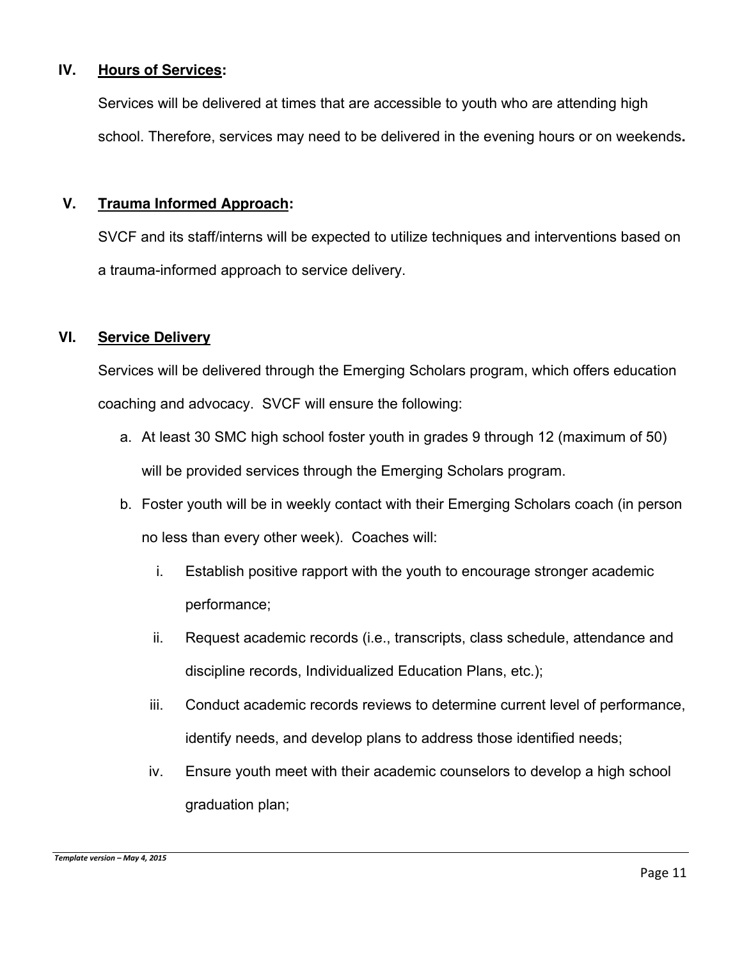### **IV. Hours of Services:**

Services will be delivered at times that are accessible to youth who are attending high school. Therefore, services may need to be delivered in the evening hours or on weekends**.** 

# **V. Trauma Informed Approach:**

SVCF and its staff/interns will be expected to utilize techniques and interventions based on a trauma-informed approach to service delivery.

### **VI. Service Delivery**

Services will be delivered through the Emerging Scholars program, which offers education coaching and advocacy. SVCF will ensure the following:

- a. At least 30 SMC high school foster youth in grades 9 through 12 (maximum of 50) will be provided services through the Emerging Scholars program.
- b. Foster youth will be in weekly contact with their Emerging Scholars coach (in person no less than every other week). Coaches will:
	- i. Establish positive rapport with the youth to encourage stronger academic performance;
	- ii. Request academic records (i.e., transcripts, class schedule, attendance and discipline records, Individualized Education Plans, etc.);
	- iii. Conduct academic records reviews to determine current level of performance, identify needs, and develop plans to address those identified needs;
	- iv. Ensure youth meet with their academic counselors to develop a high school graduation plan;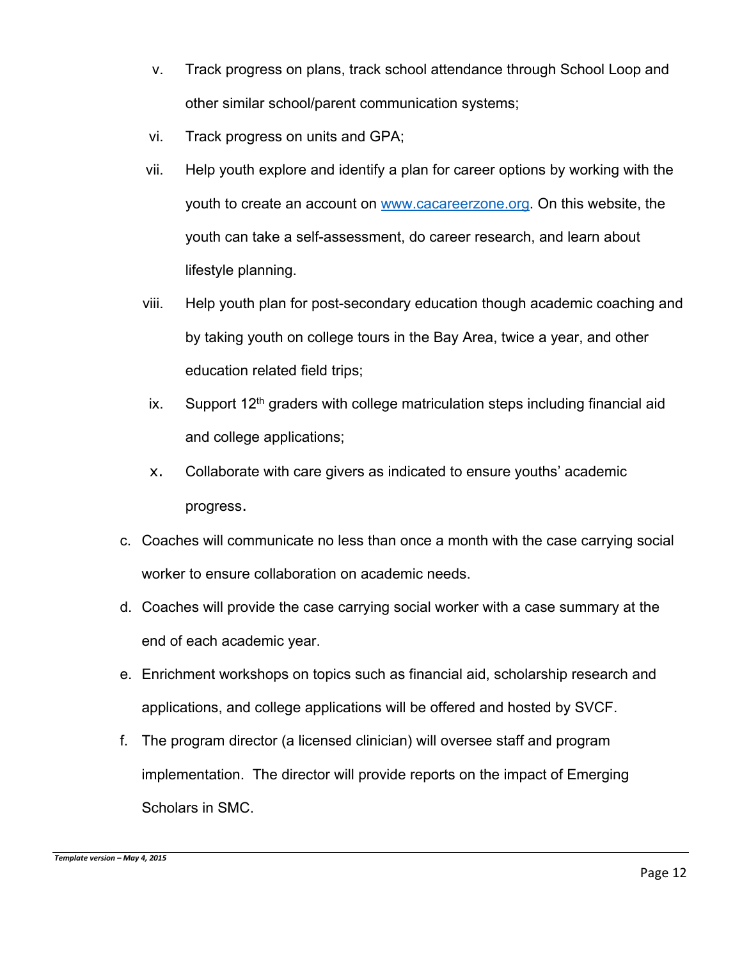- v. Track progress on plans, track school attendance through School Loop and other similar school/parent communication systems;
- vi. Track progress on units and GPA;
- vii. Help youth explore and identify a plan for career options by working with the youth to create an account on www.cacareerzone.org. On this website, the youth can take a self-assessment, do career research, and learn about lifestyle planning.
- viii. Help youth plan for post-secondary education though academic coaching and by taking youth on college tours in the Bay Area, twice a year, and other education related field trips;
- ix. Support  $12<sup>th</sup>$  graders with college matriculation steps including financial aid and college applications;
- x. Collaborate with care givers as indicated to ensure youths' academic progress.
- c. Coaches will communicate no less than once a month with the case carrying social worker to ensure collaboration on academic needs.
- d. Coaches will provide the case carrying social worker with a case summary at the end of each academic year.
- e. Enrichment workshops on topics such as financial aid, scholarship research and applications, and college applications will be offered and hosted by SVCF.
- f. The program director (a licensed clinician) will oversee staff and program implementation. The director will provide reports on the impact of Emerging Scholars in SMC.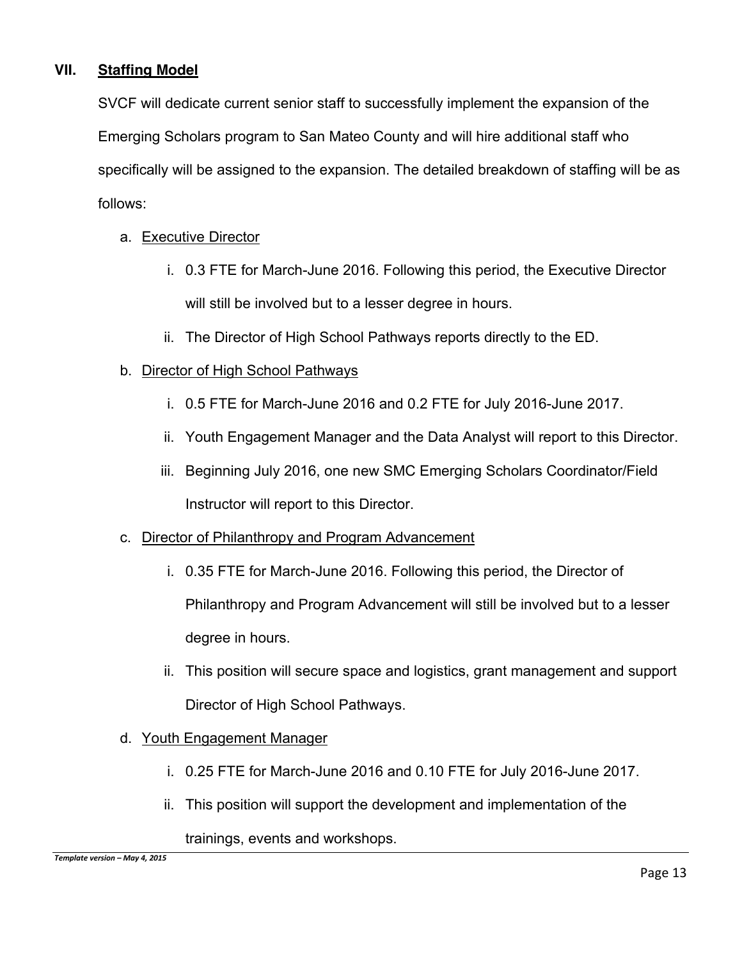# **VII. Staffing Model**

SVCF will dedicate current senior staff to successfully implement the expansion of the Emerging Scholars program to San Mateo County and will hire additional staff who specifically will be assigned to the expansion. The detailed breakdown of staffing will be as follows:

## a. Executive Director

- i. 0.3 FTE for March-June 2016. Following this period, the Executive Director will still be involved but to a lesser degree in hours.
- ii. The Director of High School Pathways reports directly to the ED.

# b. Director of High School Pathways

- i. 0.5 FTE for March-June 2016 and 0.2 FTE for July 2016-June 2017.
- ii. Youth Engagement Manager and the Data Analyst will report to this Director.
- iii. Beginning July 2016, one new SMC Emerging Scholars Coordinator/Field Instructor will report to this Director.
- c. Director of Philanthropy and Program Advancement
	- i. 0.35 FTE for March-June 2016. Following this period, the Director of Philanthropy and Program Advancement will still be involved but to a lesser degree in hours.
	- ii. This position will secure space and logistics, grant management and support Director of High School Pathways.

# d. Youth Engagement Manager

- i. 0.25 FTE for March-June 2016 and 0.10 FTE for July 2016-June 2017.
- ii. This position will support the development and implementation of the

trainings, events and workshops.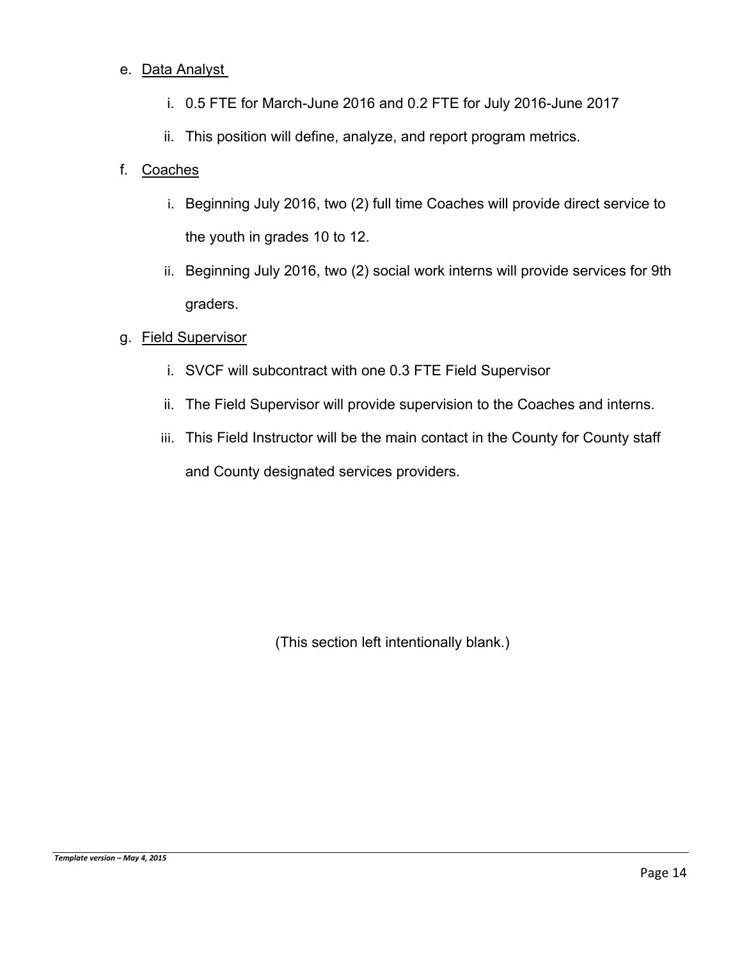### e. Data Analyst

- i. 0.5 FTE for March-June 2016 and 0.2 FTE for July 2016-June 2017
- ii. This position will define, analyze, and report program metrics.

# f. Coaches

- i. Beginning July 2016, two (2) full time Coaches will provide direct service to the youth in grades 10 to 12.
- ii. Beginning July 2016, two (2) social work interns will provide services for 9th graders.

# g. Field Supervisor

- i. SVCF will subcontract with one 0.3 FTE Field Supervisor
- ii. The Field Supervisor will provide supervision to the Coaches and interns.
- iii. This Field Instructor will be the main contact in the County for County staff and County designated services providers.

(This section left intentionally blank.)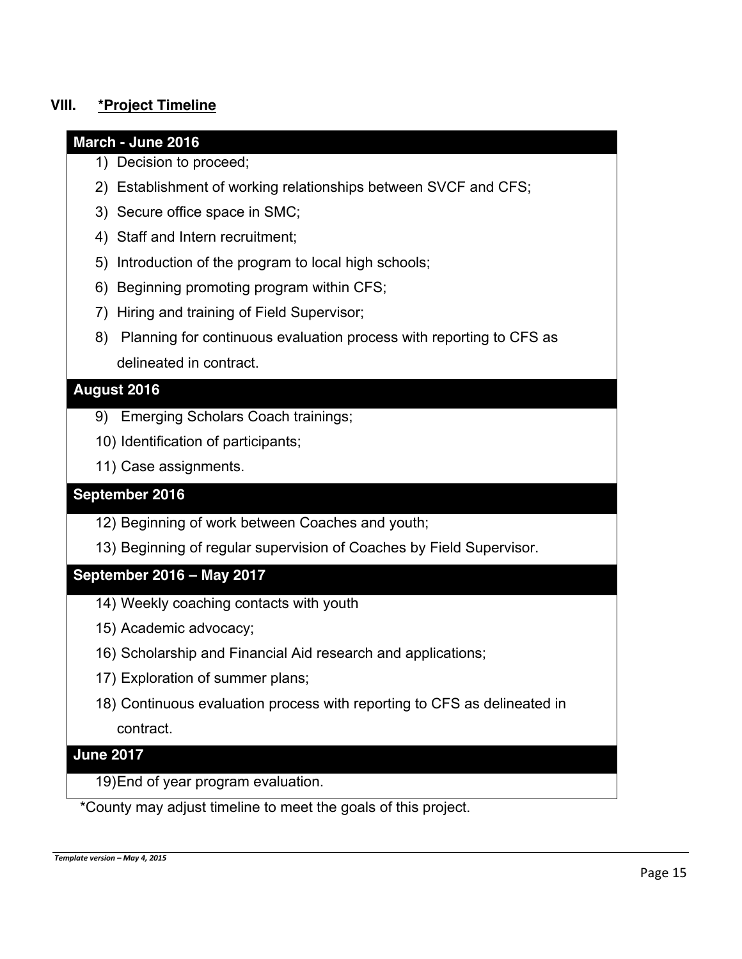# **VIII. \*Project Timeline**

### **March - June 2016**

### 1) Decision to proceed;

- 2) Establishment of working relationships between SVCF and CFS;
- 3) Secure office space in SMC;
- 4) Staff and Intern recruitment;
- 5) Introduction of the program to local high schools;
- 6) Beginning promoting program within CFS;
- 7) Hiring and training of Field Supervisor;
- 8) Planning for continuous evaluation process with reporting to CFS as delineated in contract.

### **August 2016**

- 9) Emerging Scholars Coach trainings;
- 10) Identification of participants;
- 11) Case assignments.

### **September 2016**

- 12) Beginning of work between Coaches and youth;
- 13) Beginning of regular supervision of Coaches by Field Supervisor.

#### **September 2016 – May 2017**

- 14) Weekly coaching contacts with youth
- 15) Academic advocacy;
- 16) Scholarship and Financial Aid research and applications;
- 17) Exploration of summer plans;
- 18) Continuous evaluation process with reporting to CFS as delineated in contract.

# **June 2017**

19) End of year program evaluation.

\*County may adjust timeline to meet the goals of this project.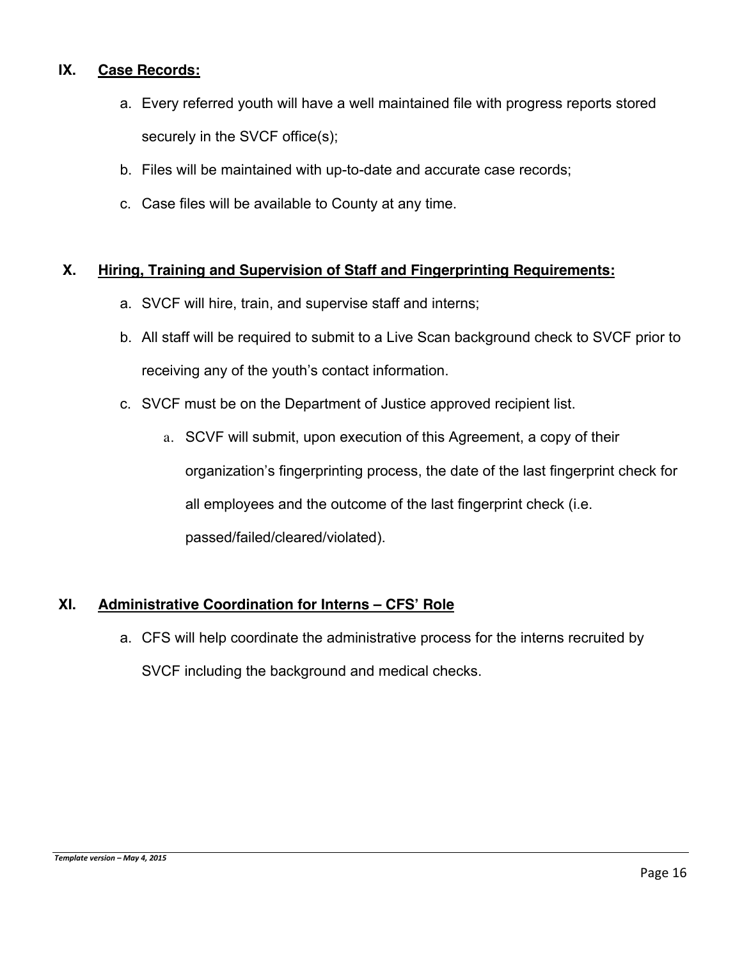# **IX. Case Records:**

- a. Every referred youth will have a well maintained file with progress reports stored securely in the SVCF office(s);
- b. Files will be maintained with up-to-date and accurate case records;
- c. Case files will be available to County at any time.

### **X. Hiring, Training and Supervision of Staff and Fingerprinting Requirements:**

- a. SVCF will hire, train, and supervise staff and interns;
- b. All staff will be required to submit to a Live Scan background check to SVCF prior to receiving any of the youth's contact information.
- c. SVCF must be on the Department of Justice approved recipient list.
	- a. SCVF will submit, upon execution of this Agreement, a copy of their organization's fingerprinting process, the date of the last fingerprint check for all employees and the outcome of the last fingerprint check (i.e. passed/failed/cleared/violated).

# **XI. Administrative Coordination for Interns – CFS' Role**

a. CFS will help coordinate the administrative process for the interns recruited by SVCF including the background and medical checks.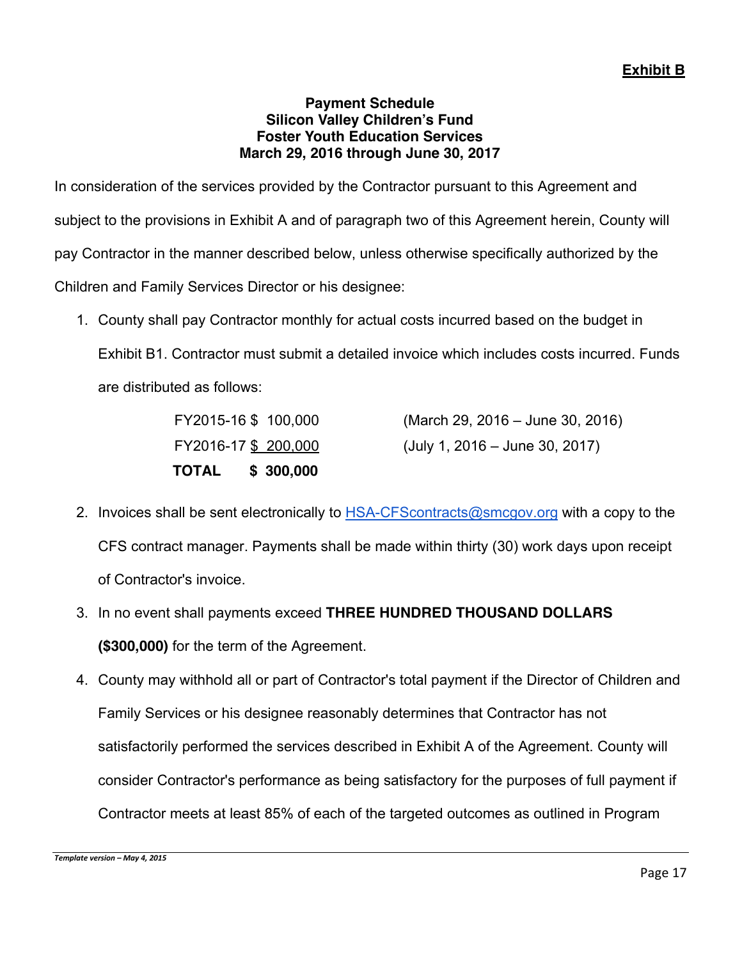### **Payment Schedule Silicon Valley Children's Fund Foster Youth Education Services March 29, 2016 through June 30, 2017**

In consideration of the services provided by the Contractor pursuant to this Agreement and subject to the provisions in Exhibit A and of paragraph two of this Agreement herein, County will pay Contractor in the manner described below, unless otherwise specifically authorized by the Children and Family Services Director or his designee:

1. County shall pay Contractor monthly for actual costs incurred based on the budget in Exhibit B1. Contractor must submit a detailed invoice which includes costs incurred. Funds are distributed as follows:

 **TOTAL \$ 300,000** 

FY2015-16 \$ 100,000 (March 29, 2016 – June 30, 2016) FY2016-17 \$ 200,000 (July 1, 2016 – June 30, 2017)

- 2. Invoices shall be sent electronically to HSA-CFScontracts@smcgov.org with a copy to the CFS contract manager. Payments shall be made within thirty (30) work days upon receipt of Contractor's invoice.
- 3. In no event shall payments exceed **THREE HUNDRED THOUSAND DOLLARS (\$300,000)** for the term of the Agreement.
- 4. County may withhold all or part of Contractor's total payment if the Director of Children and Family Services or his designee reasonably determines that Contractor has not satisfactorily performed the services described in Exhibit A of the Agreement. County will consider Contractor's performance as being satisfactory for the purposes of full payment if Contractor meets at least 85% of each of the targeted outcomes as outlined in Program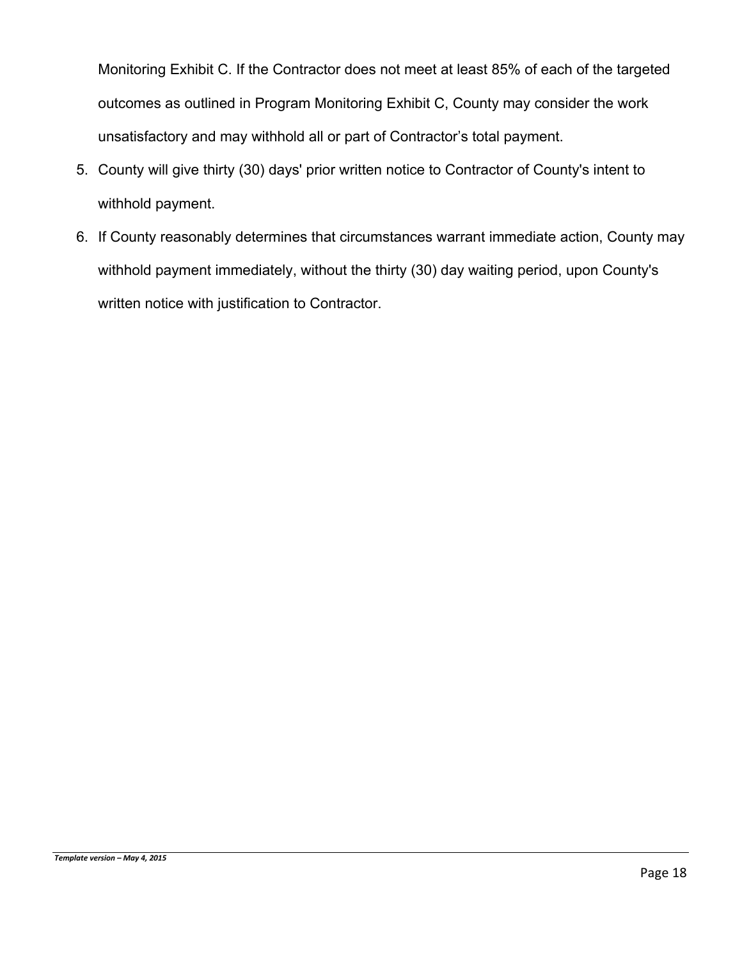Monitoring Exhibit C. If the Contractor does not meet at least 85% of each of the targeted outcomes as outlined in Program Monitoring Exhibit C, County may consider the work unsatisfactory and may withhold all or part of Contractor's total payment.

- 5. County will give thirty (30) days' prior written notice to Contractor of County's intent to withhold payment.
- 6. If County reasonably determines that circumstances warrant immediate action, County may withhold payment immediately, without the thirty (30) day waiting period, upon County's written notice with justification to Contractor.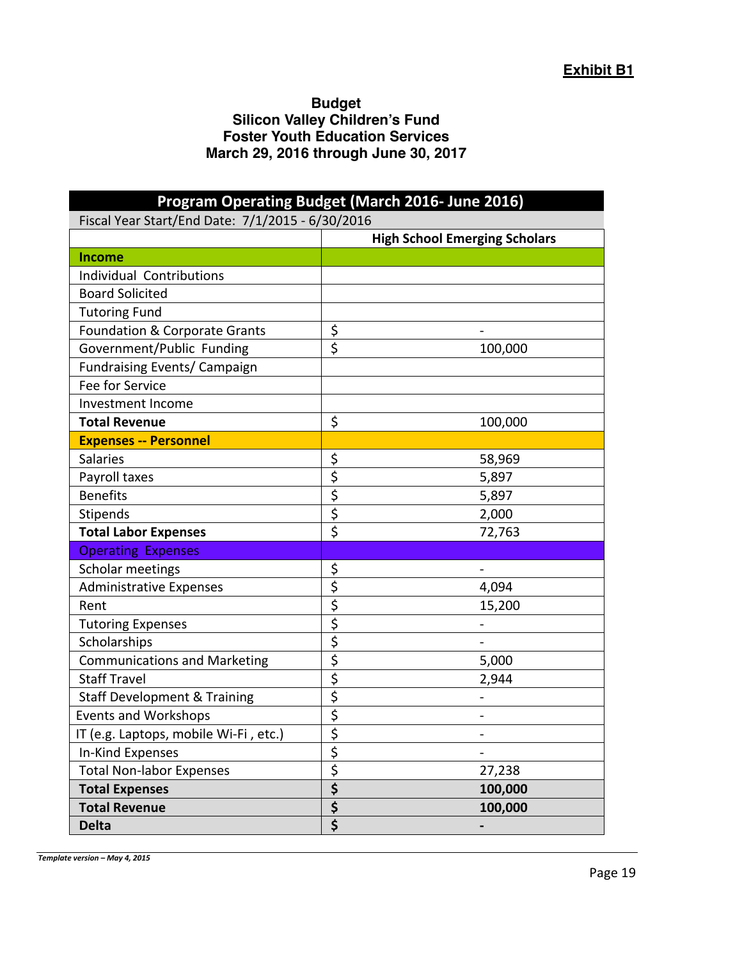### **Budget Silicon Valley Children's Fund Foster Youth Education Services March 29, 2016 through June 30, 2017**

| Program Operating Budget (March 2016- June 2016) |                                 |                                      |
|--------------------------------------------------|---------------------------------|--------------------------------------|
| Fiscal Year Start/End Date: 7/1/2015 - 6/30/2016 |                                 |                                      |
|                                                  |                                 | <b>High School Emerging Scholars</b> |
| <b>Income</b>                                    |                                 |                                      |
| Individual Contributions                         |                                 |                                      |
| <b>Board Solicited</b>                           |                                 |                                      |
| <b>Tutoring Fund</b>                             |                                 |                                      |
| Foundation & Corporate Grants                    | \$                              |                                      |
| Government/Public Funding                        | $\overline{\mathsf{S}}$         | 100,000                              |
| <b>Fundraising Events/ Campaign</b>              |                                 |                                      |
| Fee for Service                                  |                                 |                                      |
| Investment Income                                |                                 |                                      |
| <b>Total Revenue</b>                             | \$                              | 100,000                              |
| <b>Expenses -- Personnel</b>                     |                                 |                                      |
| <b>Salaries</b>                                  | \$                              | 58,969                               |
| Payroll taxes                                    | $\overline{\xi}$                | 5,897                                |
| <b>Benefits</b>                                  | $\overline{\xi}$                | 5,897                                |
| Stipends                                         | $\overline{\xi}$                | 2,000                                |
| <b>Total Labor Expenses</b>                      | $\overline{\varsigma}$          | 72,763                               |
| <b>Operating Expenses</b>                        |                                 |                                      |
| Scholar meetings                                 | \$                              |                                      |
| <b>Administrative Expenses</b>                   | \$                              | 4,094                                |
| Rent                                             | $\overline{\xi}$                | 15,200                               |
| <b>Tutoring Expenses</b>                         | $\overline{\xi}$                |                                      |
| Scholarships                                     | $\overline{\xi}$                |                                      |
| <b>Communications and Marketing</b>              | $\overline{\xi}$                | 5,000                                |
| <b>Staff Travel</b>                              | \$                              | 2,944                                |
| <b>Staff Development &amp; Training</b>          | $\overline{\boldsymbol{\zeta}}$ |                                      |
| <b>Events and Workshops</b>                      | $\overline{\xi}$                |                                      |
| IT (e.g. Laptops, mobile Wi-Fi, etc.)            | \$                              |                                      |
| In-Kind Expenses                                 | $\overline{\xi}$                |                                      |
| <b>Total Non-labor Expenses</b>                  | \$                              | 27,238                               |
| <b>Total Expenses</b>                            | $\overline{\boldsymbol{\zeta}}$ | 100,000                              |
| <b>Total Revenue</b>                             | $\overline{\boldsymbol{\zeta}}$ | 100,000                              |
| <b>Delta</b>                                     | \$                              |                                      |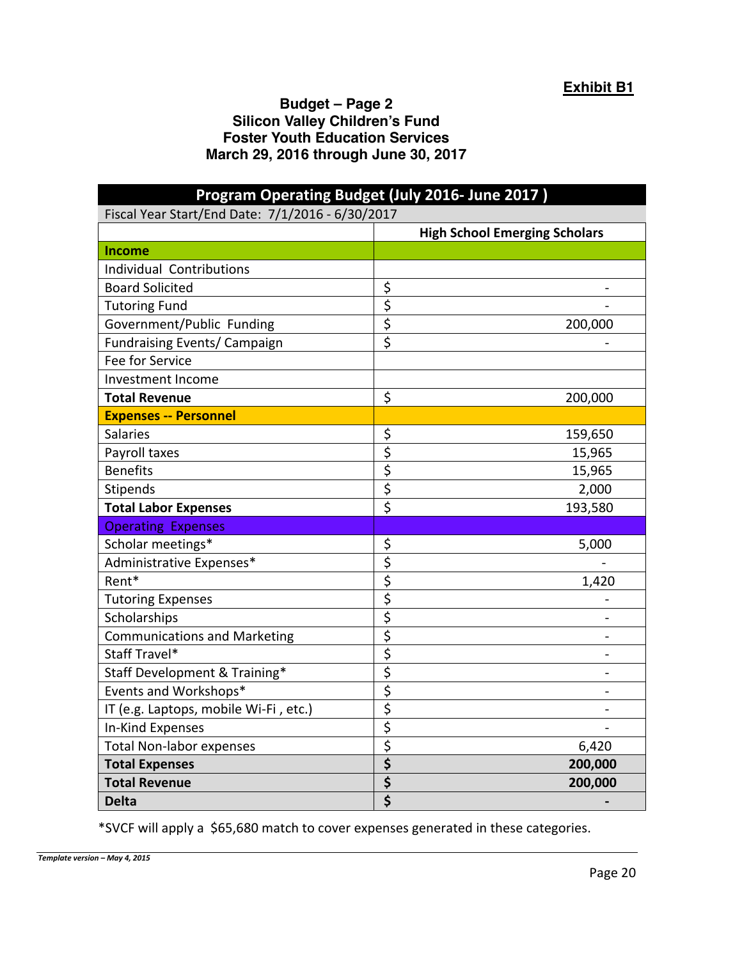### **Budget – Page 2 Silicon Valley Children's Fund Foster Youth Education Services March 29, 2016 through June 30, 2017**

| Program Operating Budget (July 2016- June 2017)  |                                 |                                      |  |  |
|--------------------------------------------------|---------------------------------|--------------------------------------|--|--|
| Fiscal Year Start/End Date: 7/1/2016 - 6/30/2017 |                                 |                                      |  |  |
|                                                  |                                 | <b>High School Emerging Scholars</b> |  |  |
| <b>Income</b>                                    |                                 |                                      |  |  |
| <b>Individual Contributions</b>                  |                                 |                                      |  |  |
| <b>Board Solicited</b>                           | \$                              |                                      |  |  |
| <b>Tutoring Fund</b>                             | $\overline{\xi}$                |                                      |  |  |
| Government/Public Funding                        | $\overline{\boldsymbol{\zeta}}$ | 200,000                              |  |  |
| <b>Fundraising Events/ Campaign</b>              | $\overline{\boldsymbol{\zeta}}$ |                                      |  |  |
| Fee for Service                                  |                                 |                                      |  |  |
| Investment Income                                |                                 |                                      |  |  |
| <b>Total Revenue</b>                             | \$                              | 200,000                              |  |  |
| <b>Expenses -- Personnel</b>                     |                                 |                                      |  |  |
| <b>Salaries</b>                                  | \$                              | 159,650                              |  |  |
| Payroll taxes                                    | $\overline{\xi}$                | 15,965                               |  |  |
| <b>Benefits</b>                                  | \$                              | 15,965                               |  |  |
| Stipends                                         | \$                              | 2,000                                |  |  |
| <b>Total Labor Expenses</b>                      | $\overline{\boldsymbol{\zeta}}$ | 193,580                              |  |  |
| <b>Operating Expenses</b>                        |                                 |                                      |  |  |
| Scholar meetings*                                | \$                              | 5,000                                |  |  |
| Administrative Expenses*                         | $\overline{\xi}$                |                                      |  |  |
| Rent*                                            | \$                              | 1,420                                |  |  |
| <b>Tutoring Expenses</b>                         | \$                              |                                      |  |  |
| Scholarships                                     | $\overline{\xi}$                |                                      |  |  |
| <b>Communications and Marketing</b>              | $\overline{\boldsymbol{\zeta}}$ |                                      |  |  |
| Staff Travel*                                    | \$                              |                                      |  |  |
| Staff Development & Training*                    | \$                              | $\blacksquare$                       |  |  |
| Events and Workshops*                            | \$                              |                                      |  |  |
| IT (e.g. Laptops, mobile Wi-Fi, etc.)            | $\overline{\xi}$                |                                      |  |  |
| In-Kind Expenses                                 | $\overline{\boldsymbol{\zeta}}$ |                                      |  |  |
| <b>Total Non-labor expenses</b>                  | $\overline{\xi}$                | 6,420                                |  |  |
| <b>Total Expenses</b>                            | $\overline{\boldsymbol{\zeta}}$ | 200,000                              |  |  |
| <b>Total Revenue</b>                             | \$                              | 200,000                              |  |  |
| <b>Delta</b>                                     | \$                              |                                      |  |  |

\*SVCF will apply a \$65,680 match to cover expenses generated in these categories.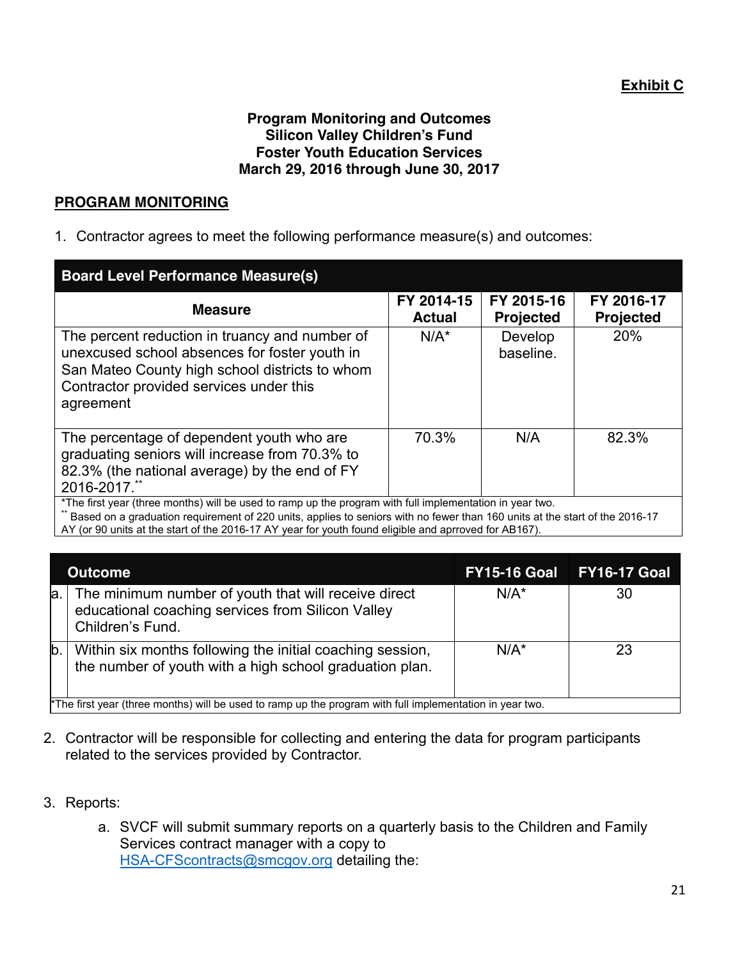### **Program Monitoring and Outcomes Silicon Valley Children's Fund Foster Youth Education Services March 29, 2016 through June 30, 2017**

# **PROGRAM MONITORING**

1. Contractor agrees to meet the following performance measure(s) and outcomes:

| <b>Board Level Performance Measure(s)</b>                                                                                                                                                                                                                                |                             |                                |                                |
|--------------------------------------------------------------------------------------------------------------------------------------------------------------------------------------------------------------------------------------------------------------------------|-----------------------------|--------------------------------|--------------------------------|
| <b>Measure</b>                                                                                                                                                                                                                                                           | FY 2014-15<br><b>Actual</b> | FY 2015-16<br><b>Projected</b> | FY 2016-17<br><b>Projected</b> |
| The percent reduction in truancy and number of<br>unexcused school absences for foster youth in<br>San Mateo County high school districts to whom<br>Contractor provided services under this<br>agreement                                                                | $N/A^*$                     | Develop<br>baseline.           | 20%                            |
| The percentage of dependent youth who are<br>graduating seniors will increase from 70.3% to<br>82.3% (the national average) by the end of FY<br>2016-2017.**<br>*The first year (three months) will be used to ramp up the program with full implementation in year two. | 70.3%                       | N/A                            | 82.3%                          |

\*\* Based on a graduation requirement of 220 units, applies to seniors with no fewer than 160 units at the start of the 2016-17 AY (or 90 units at the start of the 2016-17 AY year for youth found eligible and aprroved for AB167).

|     | <b>Outcome</b>                                                                                                                | <b>FY15-16 Goal</b> | <b>FY16-17 Goal</b> |
|-----|-------------------------------------------------------------------------------------------------------------------------------|---------------------|---------------------|
| a.  | The minimum number of youth that will receive direct<br>educational coaching services from Silicon Valley<br>Children's Fund. | $N/A^*$             | 30                  |
| lb. | Within six months following the initial coaching session,<br>the number of youth with a high school graduation plan.          | $N/A^*$             | 23                  |
|     | *The first year (three months) will be used to ramp up the program with full implementation in year two.                      |                     |                     |

- 2. Contractor will be responsible for collecting and entering the data for program participants related to the services provided by Contractor.
- 3. Reports:
	- a. SVCF will submit summary reports on a quarterly basis to the Children and Family Services contract manager with a copy to HSA-CFScontracts@smcgov.org detailing the: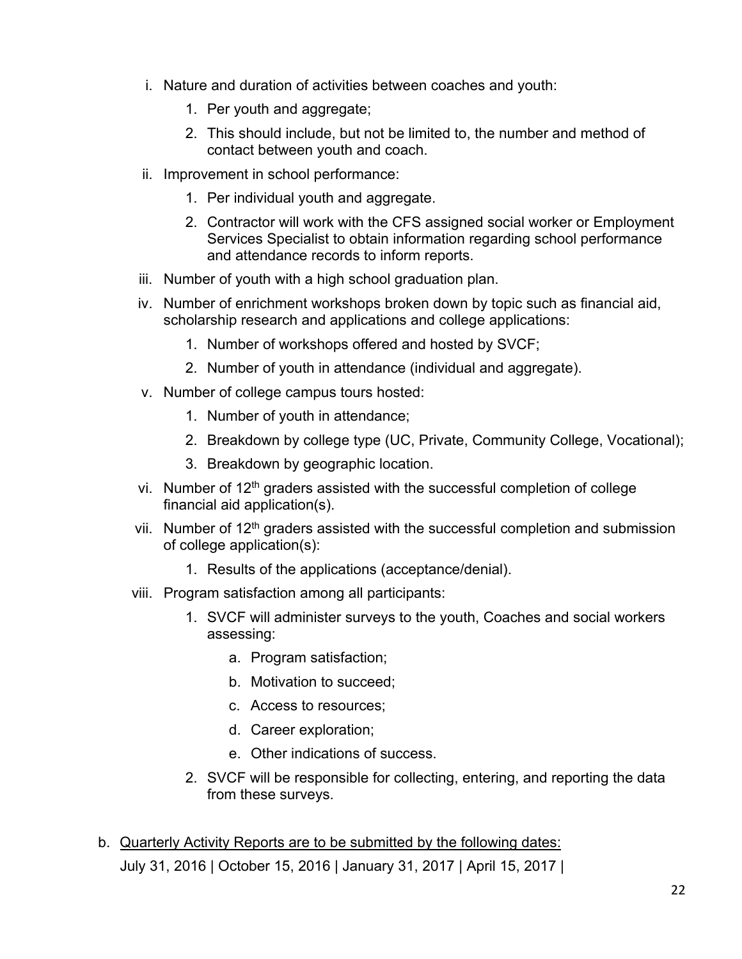- i. Nature and duration of activities between coaches and youth:
	- 1. Per youth and aggregate;
	- 2. This should include, but not be limited to, the number and method of contact between youth and coach.
- ii. Improvement in school performance:
	- 1. Per individual youth and aggregate.
	- 2. Contractor will work with the CFS assigned social worker or Employment Services Specialist to obtain information regarding school performance and attendance records to inform reports.
- iii. Number of youth with a high school graduation plan.
- iv. Number of enrichment workshops broken down by topic such as financial aid, scholarship research and applications and college applications:
	- 1. Number of workshops offered and hosted by SVCF;
	- 2. Number of youth in attendance (individual and aggregate).
- v. Number of college campus tours hosted:
	- 1. Number of youth in attendance;
	- 2. Breakdown by college type (UC, Private, Community College, Vocational);
	- 3. Breakdown by geographic location.
- vi. Number of  $12<sup>th</sup>$  graders assisted with the successful completion of college financial aid application(s).
- vii. Number of  $12<sup>th</sup>$  graders assisted with the successful completion and submission of college application(s):
	- 1. Results of the applications (acceptance/denial).
- viii. Program satisfaction among all participants:
	- 1. SVCF will administer surveys to the youth, Coaches and social workers assessing:
		- a. Program satisfaction;
		- b. Motivation to succeed;
		- c. Access to resources;
		- d. Career exploration;
		- e. Other indications of success.
	- 2. SVCF will be responsible for collecting, entering, and reporting the data from these surveys.
- b. Quarterly Activity Reports are to be submitted by the following dates: July 31, 2016 | October 15, 2016 | January 31, 2017 | April 15, 2017 |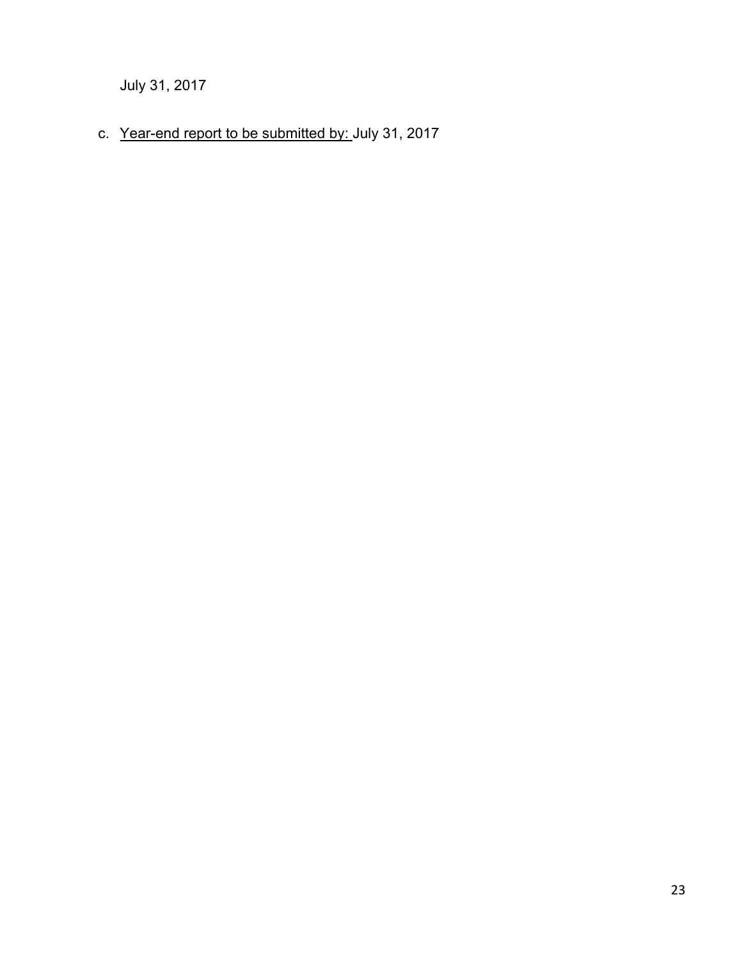July 31, 2017

# c. Year-end report to be submitted by: July 31, 2017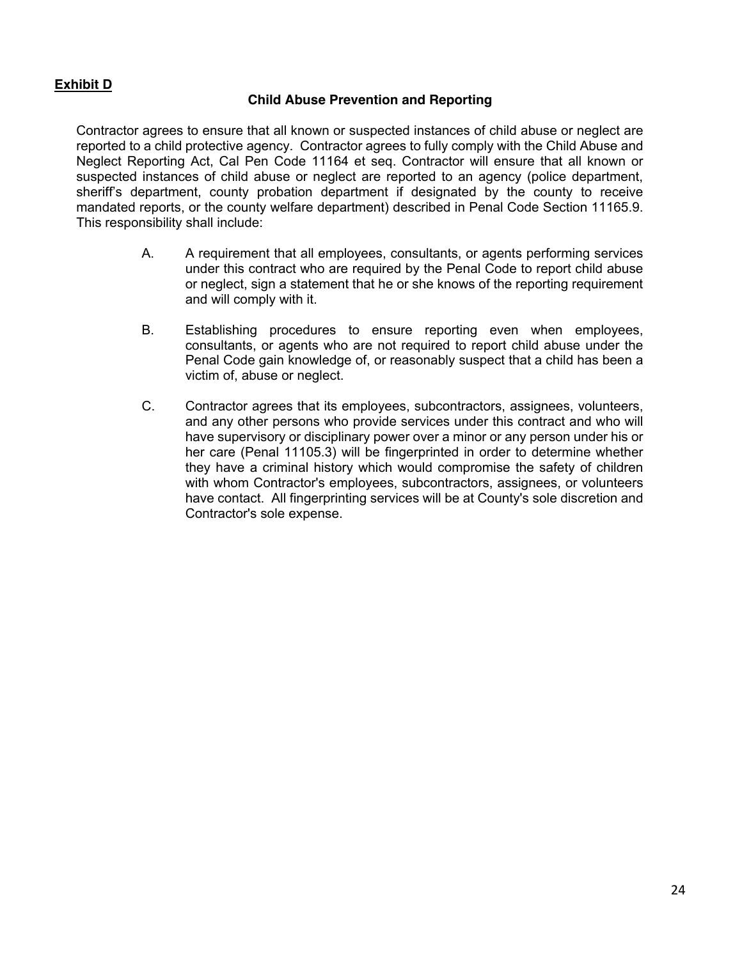### **Exhibit D**

#### **Child Abuse Prevention and Reporting**

Contractor agrees to ensure that all known or suspected instances of child abuse or neglect are reported to a child protective agency. Contractor agrees to fully comply with the Child Abuse and Neglect Reporting Act, Cal Pen Code 11164 et seq. Contractor will ensure that all known or suspected instances of child abuse or neglect are reported to an agency (police department, sheriff's department, county probation department if designated by the county to receive mandated reports, or the county welfare department) described in Penal Code Section 11165.9. This responsibility shall include:

- A. A requirement that all employees, consultants, or agents performing services under this contract who are required by the Penal Code to report child abuse or neglect, sign a statement that he or she knows of the reporting requirement and will comply with it.
- B. Establishing procedures to ensure reporting even when employees, consultants, or agents who are not required to report child abuse under the Penal Code gain knowledge of, or reasonably suspect that a child has been a victim of, abuse or neglect.
- C. Contractor agrees that its employees, subcontractors, assignees, volunteers, and any other persons who provide services under this contract and who will have supervisory or disciplinary power over a minor or any person under his or her care (Penal 11105.3) will be fingerprinted in order to determine whether they have a criminal history which would compromise the safety of children with whom Contractor's employees, subcontractors, assignees, or volunteers have contact. All fingerprinting services will be at County's sole discretion and Contractor's sole expense.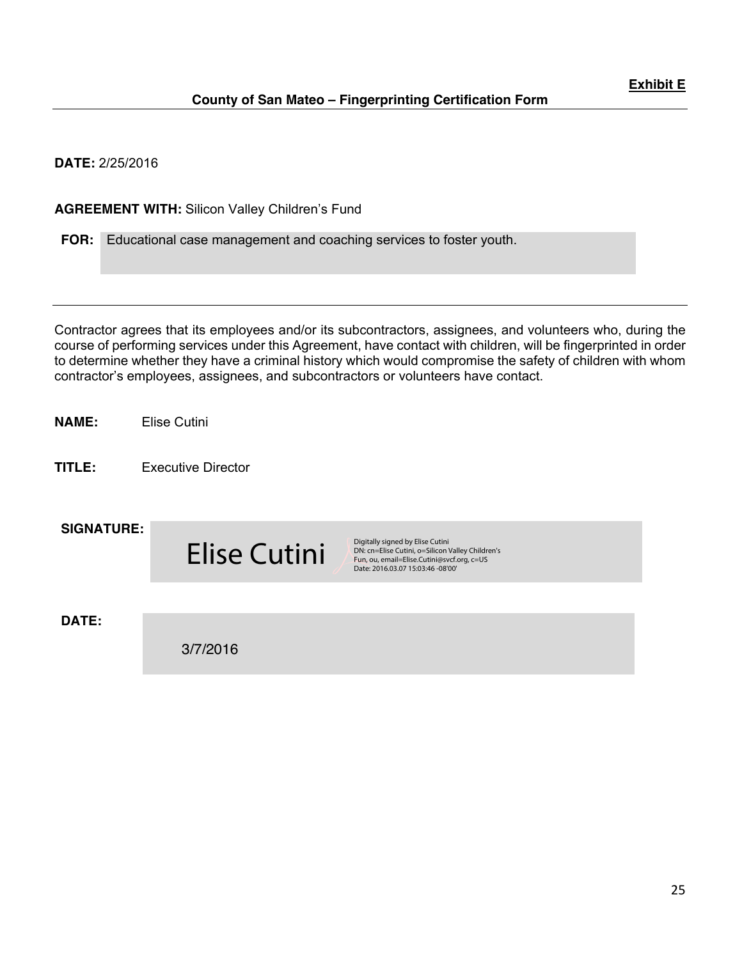**DATE:** 2/25/2016

**AGREEMENT WITH:** Silicon Valley Children's Fund

**FOR:** Educational case management and coaching services to foster youth.

Contractor agrees that its employees and/or its subcontractors, assignees, and volunteers who, during the course of performing services under this Agreement, have contact with children, will be fingerprinted in order to determine whether they have a criminal history which would compromise the safety of children with whom contractor's employees, assignees, and subcontractors or volunteers have contact.

**NAME:** Elise Cutini

**TITLE:** Executive Director